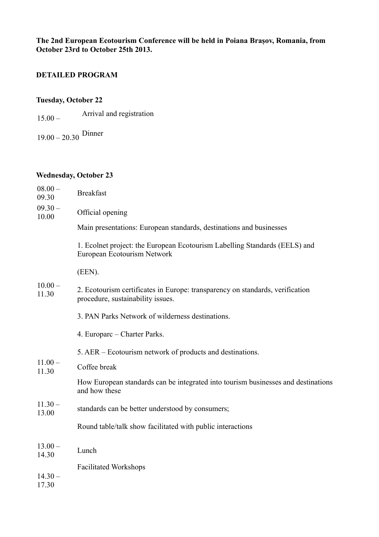**The 2nd European Ecotourism Conference will be held in Poiana Brașov, Romania, from October 23rd to October 25th 2013.**

# **DETAILED PROGRAM**

#### **Tuesday, October 22**

- 15.00 Arrival and registration
- 19.00 20.30 Dinner

# **Wednesday, October 23**

| $08.00 -$<br>09.30 | <b>Breakfast</b>                                                                                                   |
|--------------------|--------------------------------------------------------------------------------------------------------------------|
| $09.30 -$<br>10.00 | Official opening                                                                                                   |
|                    | Main presentations: European standards, destinations and businesses                                                |
|                    | 1. Ecolnet project: the European Ecotourism Labelling Standards (EELS) and<br>European Ecotourism Network          |
|                    | (EEN).                                                                                                             |
| $10.00 -$<br>11.30 | 2. Ecotourism certificates in Europe: transparency on standards, verification<br>procedure, sustainability issues. |
|                    | 3. PAN Parks Network of wilderness destinations.                                                                   |
|                    | 4. Europarc – Charter Parks.                                                                                       |
|                    | 5. AER – Ecotourism network of products and destinations.                                                          |
| $11.00 -$<br>11.30 | Coffee break                                                                                                       |
|                    | How European standards can be integrated into tourism businesses and destinations<br>and how these                 |
| $11.30 -$<br>13.00 | standards can be better understood by consumers;                                                                   |
|                    | Round table/talk show facilitated with public interactions                                                         |
| $13.00 -$<br>14.30 | Lunch                                                                                                              |
|                    | <b>Facilitated Workshops</b>                                                                                       |
| $14.30 -$<br>17.30 |                                                                                                                    |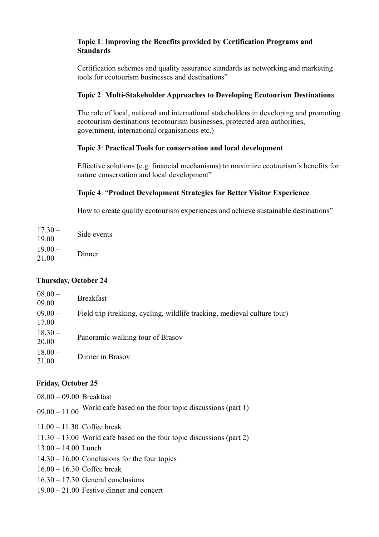#### **Topic 1**: **Improving the Benefits provided by Certification Programs and Standards**

Certification schemes and quality assurance standards as networking and marketing tools for ecotourism businesses and destinations"

#### **Topic 2**: **Multi-Stakeholder Approaches to Developing Ecotourism Destinations**

The role of local, national and international stakeholders in developing and promoting ecotourism destinations (ecotourism businesses, protected area authorities, government, international organisations etc.)

#### **Topic 3**: **Practical Tools for conservation and local development**

Effective solutions (e.g. financial mechanisms) to maximize ecotourism's benefits for nature conservation and local development"

## **Topic 4**: "**Product Development Strategies for Better Visitor Experience**

How to create quality ecotourism experiences and achieve sustainable destinations"

 $17.30 17.50 -$ <br>19.00 Side events  $19.00 21.00 - 0$  Dinner

## **Thursday, October 24**

| $08.00 -$<br>09.00 | <b>Breakfast</b>                                                         |
|--------------------|--------------------------------------------------------------------------|
| $09.00 -$<br>17.00 | Field trip (trekking, cycling, wildlife tracking, medieval culture tour) |
| $18.30 -$<br>20.00 | Panoramic walking tour of Brasov                                         |
| $18.00 -$<br>21.00 | Dinner in Brasov                                                         |

## **Friday, October 25**

08.00 – 09.00 Breakfast

 $09.00 - 11.00$  World cafe based on the four topic discussions (part 1)

- 11.00 11.30 Coffee break
- 11.30 13.00 World cafe based on the four topic discussions (part 2)
- 13.00 14.00 Lunch
- 14.30 16.00 Conclusions for the four topics
- 16.00 16.30 Coffee break
- 16.30 17.30 General conclusions
- 19.00 21.00 Festive dinner and concert